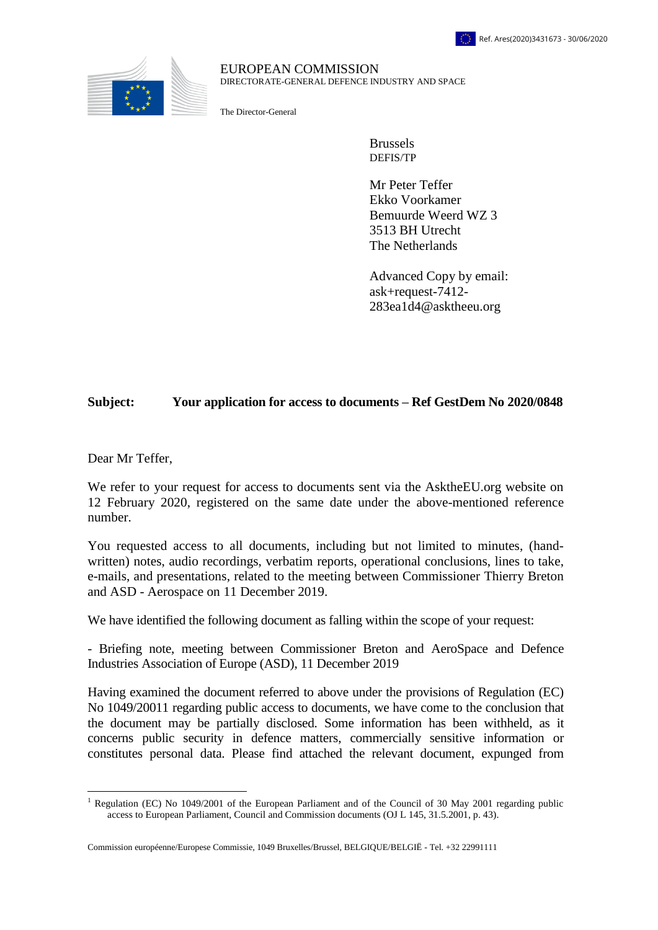

## EUROPEAN COMMISSION DIRECTORATE-GENERAL DEFENCE INDUSTRY AND SPACE

The Director-General

Brussels DEFIS/TP

Mr Peter Teffer Ekko Voorkamer Bemuurde Weerd WZ 3 3513 BH Utrecht The Netherlands

Advanced Copy by email: ask+request-7412- 283ea1d4@asktheeu.org

## **Subject: Your application for access to documents – Ref GestDem No 2020/0848**

Dear Mr Teffer,

We refer to your request for access to documents sent via the AsktheEU.org website on 12 February 2020, registered on the same date under the above-mentioned reference number.

You requested access to all documents, including but not limited to minutes, (handwritten) notes, audio recordings, verbatim reports, operational conclusions, lines to take, e-mails, and presentations, related to the meeting between Commissioner Thierry Breton and ASD - Aerospace on 11 December 2019.

We have identified the following document as falling within the scope of your request:

- Briefing note, meeting between Commissioner Breton and AeroSpace and Defence Industries Association of Europe (ASD), 11 December 2019

Having examined the document referred to above under the provisions of Regulation (EC) No 1049/20011 regarding public access to documents, we have come to the conclusion that the document may be partially disclosed. Some information has been withheld, as it concerns public security in defence matters, commercially sensitive information or constitutes personal data. Please find attached the relevant document, expunged from

 $\overline{a}$ <sup>1</sup> Regulation (EC) No 1049/2001 of the European Parliament and of the Council of 30 May 2001 regarding public access to European Parliament, Council and Commission documents (OJ L 145, 31.5.2001, p. 43).

Commission européenne/Europese Commissie, 1049 Bruxelles/Brussel, BELGIQUE/BELGIË - Tel. +32 22991111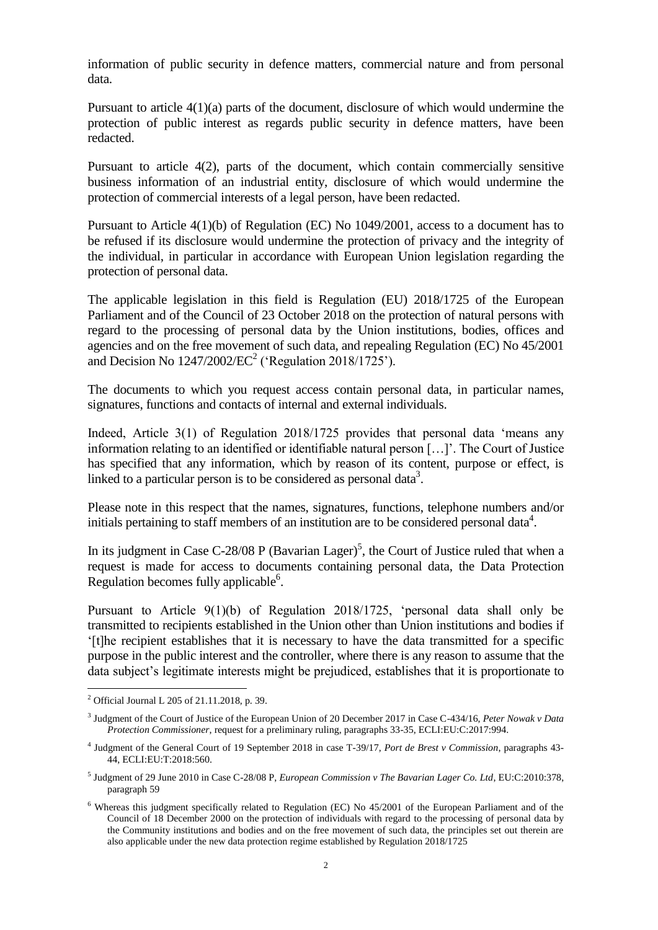information of public security in defence matters, commercial nature and from personal data.

Pursuant to article 4(1)(a) parts of the document, disclosure of which would undermine the protection of public interest as regards public security in defence matters, have been redacted.

Pursuant to article 4(2), parts of the document, which contain commercially sensitive business information of an industrial entity, disclosure of which would undermine the protection of commercial interests of a legal person, have been redacted.

Pursuant to Article 4(1)(b) of Regulation (EC) No 1049/2001, access to a document has to be refused if its disclosure would undermine the protection of privacy and the integrity of the individual, in particular in accordance with European Union legislation regarding the protection of personal data.

The applicable legislation in this field is Regulation (EU) 2018/1725 of the European Parliament and of the Council of 23 October 2018 on the protection of natural persons with regard to the processing of personal data by the Union institutions, bodies, offices and agencies and on the free movement of such data, and repealing Regulation (EC) No 45/2001 and Decision No  $1247/2002/EC^2$  ('Regulation 2018/1725').

The documents to which you request access contain personal data, in particular names, signatures, functions and contacts of internal and external individuals.

Indeed, Article 3(1) of Regulation 2018/1725 provides that personal data 'means any information relating to an identified or identifiable natural person […]'. The Court of Justice has specified that any information, which by reason of its content, purpose or effect, is linked to a particular person is to be considered as personal data<sup>3</sup>.

Please note in this respect that the names, signatures, functions, telephone numbers and/or initials pertaining to staff members of an institution are to be considered personal data<sup>4</sup>.

In its judgment in Case C-28/08 P (Bavarian Lager)<sup>5</sup>, the Court of Justice ruled that when a request is made for access to documents containing personal data, the Data Protection Regulation becomes fully applicable<sup>6</sup>.

Pursuant to Article 9(1)(b) of Regulation 2018/1725, 'personal data shall only be transmitted to recipients established in the Union other than Union institutions and bodies if '[t]he recipient establishes that it is necessary to have the data transmitted for a specific purpose in the public interest and the controller, where there is any reason to assume that the data subject's legitimate interests might be prejudiced, establishes that it is proportionate to

 $\overline{a}$ 

<sup>2</sup> Official Journal L 205 of 21.11.2018, p. 39.

<sup>3</sup> Judgment of the Court of Justice of the European Union of 20 December 2017 in Case C-434/16, *Peter Nowak v Data Protection Commissioner*, request for a preliminary ruling, paragraphs 33-35, ECLI:EU:C:2017:994.

<sup>4</sup> Judgment of the General Court of 19 September 2018 in case T-39/17, *Port de Brest v Commission*, paragraphs 43- 44, ECLI:EU:T:2018:560.

<sup>5</sup> Judgment of 29 June 2010 in Case C-28/08 P, *European Commission v The Bavarian Lager Co. Ltd*, EU:C:2010:378, paragraph 59

<sup>&</sup>lt;sup>6</sup> Whereas this judgment specifically related to Regulation (EC) No 45/2001 of the European Parliament and of the Council of 18 December 2000 on the protection of individuals with regard to the processing of personal data by the Community institutions and bodies and on the free movement of such data, the principles set out therein are also applicable under the new data protection regime established by Regulation 2018/1725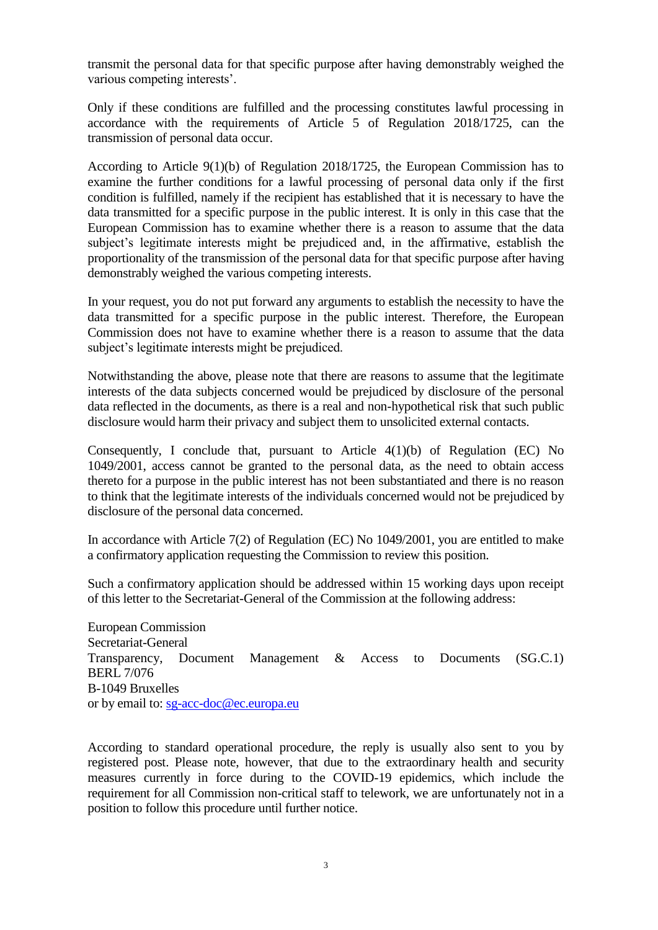transmit the personal data for that specific purpose after having demonstrably weighed the various competing interests'.

Only if these conditions are fulfilled and the processing constitutes lawful processing in accordance with the requirements of Article 5 of Regulation 2018/1725, can the transmission of personal data occur.

According to Article 9(1)(b) of Regulation 2018/1725, the European Commission has to examine the further conditions for a lawful processing of personal data only if the first condition is fulfilled, namely if the recipient has established that it is necessary to have the data transmitted for a specific purpose in the public interest. It is only in this case that the European Commission has to examine whether there is a reason to assume that the data subject's legitimate interests might be prejudiced and, in the affirmative, establish the proportionality of the transmission of the personal data for that specific purpose after having demonstrably weighed the various competing interests.

In your request, you do not put forward any arguments to establish the necessity to have the data transmitted for a specific purpose in the public interest. Therefore, the European Commission does not have to examine whether there is a reason to assume that the data subject's legitimate interests might be prejudiced.

Notwithstanding the above, please note that there are reasons to assume that the legitimate interests of the data subjects concerned would be prejudiced by disclosure of the personal data reflected in the documents, as there is a real and non-hypothetical risk that such public disclosure would harm their privacy and subject them to unsolicited external contacts.

Consequently, I conclude that, pursuant to Article 4(1)(b) of Regulation (EC) No 1049/2001, access cannot be granted to the personal data, as the need to obtain access thereto for a purpose in the public interest has not been substantiated and there is no reason to think that the legitimate interests of the individuals concerned would not be prejudiced by disclosure of the personal data concerned.

In accordance with Article 7(2) of Regulation (EC) No 1049/2001, you are entitled to make a confirmatory application requesting the Commission to review this position.

Such a confirmatory application should be addressed within 15 working days upon receipt of this letter to the Secretariat-General of the Commission at the following address:

European Commission Secretariat-General Transparency, Document Management & Access to Documents (SG.C.1) BERL 7/076 B-1049 Bruxelles or by email to: [sg-acc-doc@ec.europa.eu](mailto:xxxxxxxxxx@xx.xxxxxx.xx)

According to standard operational procedure, the reply is usually also sent to you by registered post. Please note, however, that due to the extraordinary health and security measures currently in force during to the COVID-19 epidemics, which include the requirement for all Commission non-critical staff to telework, we are unfortunately not in a position to follow this procedure until further notice.